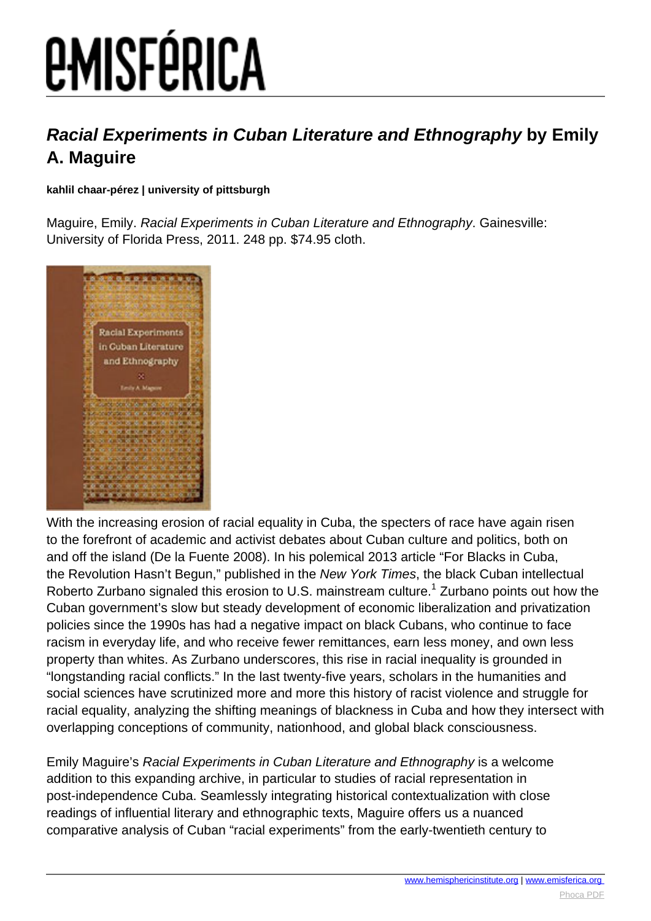# *EMISFÉRICA*

#### **Racial Experiments in Cuban Literature and Ethnography by Emily A. Maguire**

**kahlil chaar-pérez | university of pittsburgh**

Maguire, Emily. Racial Experiments in Cuban Literature and Ethnography. Gainesville: University of Florida Press, 2011. 248 pp. \$74.95 cloth.



With the increasing erosion of racial equality in Cuba, the specters of race have again risen to the forefront of academic and activist debates about Cuban culture and politics, both on and off the island (De la Fuente 2008). In his polemical 2013 article "For Blacks in Cuba, the Revolution Hasn't Begun," published in the New York Times, the black Cuban intellectual Roberto Zurbano signaled this erosion to U.S. mainstream culture.<sup>1</sup> Zurbano points out how the Cuban government's slow but steady development of economic liberalization and privatization policies since the 1990s has had a negative impact on black Cubans, who continue to face racism in everyday life, and who receive fewer remittances, earn less money, and own less property than whites. As Zurbano underscores, this rise in racial inequality is grounded in "longstanding racial conflicts." In the last twenty-five years, scholars in the humanities and social sciences have scrutinized more and more this history of racist violence and struggle for racial equality, analyzing the shifting meanings of blackness in Cuba and how they intersect with overlapping conceptions of community, nationhood, and global black consciousness.

Emily Maguire's Racial Experiments in Cuban Literature and Ethnography is a welcome addition to this expanding archive, in particular to studies of racial representation in post-independence Cuba. Seamlessly integrating historical contextualization with close readings of influential literary and ethnographic texts, Maguire offers us a nuanced comparative analysis of Cuban "racial experiments" from the early-twentieth century to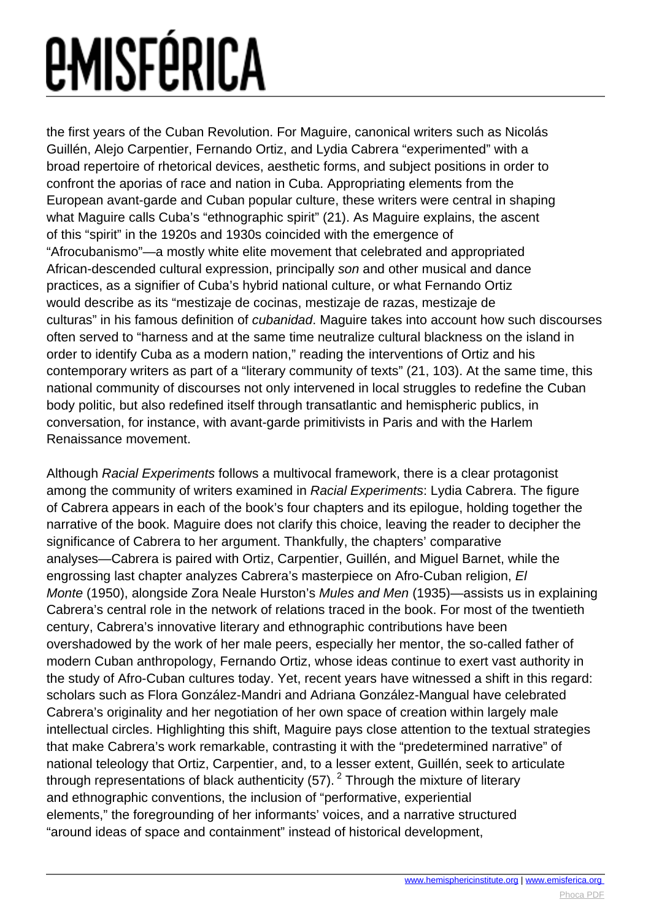## *<u>EMISFÉRICA</u>*

the first years of the Cuban Revolution. For Maguire, canonical writers such as Nicolás Guillén, Alejo Carpentier, Fernando Ortiz, and Lydia Cabrera "experimented" with a broad repertoire of rhetorical devices, aesthetic forms, and subject positions in order to confront the aporias of race and nation in Cuba. Appropriating elements from the European avant-garde and Cuban popular culture, these writers were central in shaping what Maguire calls Cuba's "ethnographic spirit" (21). As Maguire explains, the ascent of this "spirit" in the 1920s and 1930s coincided with the emergence of "Afrocubanismo"—a mostly white elite movement that celebrated and appropriated African-descended cultural expression, principally son and other musical and dance practices, as a signifier of Cuba's hybrid national culture, or what Fernando Ortiz would describe as its "mestizaje de cocinas, mestizaje de razas, mestizaje de culturas" in his famous definition of cubanidad. Maguire takes into account how such discourses often served to "harness and at the same time neutralize cultural blackness on the island in order to identify Cuba as a modern nation," reading the interventions of Ortiz and his contemporary writers as part of a "literary community of texts" (21, 103). At the same time, this national community of discourses not only intervened in local struggles to redefine the Cuban body politic, but also redefined itself through transatlantic and hemispheric publics, in conversation, for instance, with avant-garde primitivists in Paris and with the Harlem Renaissance movement.

Although Racial Experiments follows a multivocal framework, there is a clear protagonist among the community of writers examined in Racial Experiments: Lydia Cabrera. The figure of Cabrera appears in each of the book's four chapters and its epilogue, holding together the narrative of the book. Maguire does not clarify this choice, leaving the reader to decipher the significance of Cabrera to her argument. Thankfully, the chapters' comparative analyses—Cabrera is paired with Ortiz, Carpentier, Guillén, and Miguel Barnet, while the engrossing last chapter analyzes Cabrera's masterpiece on Afro-Cuban religion, El Monte (1950), alongside Zora Neale Hurston's Mules and Men (1935)—assists us in explaining Cabrera's central role in the network of relations traced in the book. For most of the twentieth century, Cabrera's innovative literary and ethnographic contributions have been overshadowed by the work of her male peers, especially her mentor, the so-called father of modern Cuban anthropology, Fernando Ortiz, whose ideas continue to exert vast authority in the study of Afro-Cuban cultures today. Yet, recent years have witnessed a shift in this regard: scholars such as Flora González-Mandri and Adriana González-Mangual have celebrated Cabrera's originality and her negotiation of her own space of creation within largely male intellectual circles. Highlighting this shift, Maguire pays close attention to the textual strategies that make Cabrera's work remarkable, contrasting it with the "predetermined narrative" of national teleology that Ortiz, Carpentier, and, to a lesser extent, Guillén, seek to articulate through representations of black authenticity (57).<sup>2</sup> Through the mixture of literary and ethnographic conventions, the inclusion of "performative, experiential elements," the foregrounding of her informants' voices, and a narrative structured "around ideas of space and containment" instead of historical development,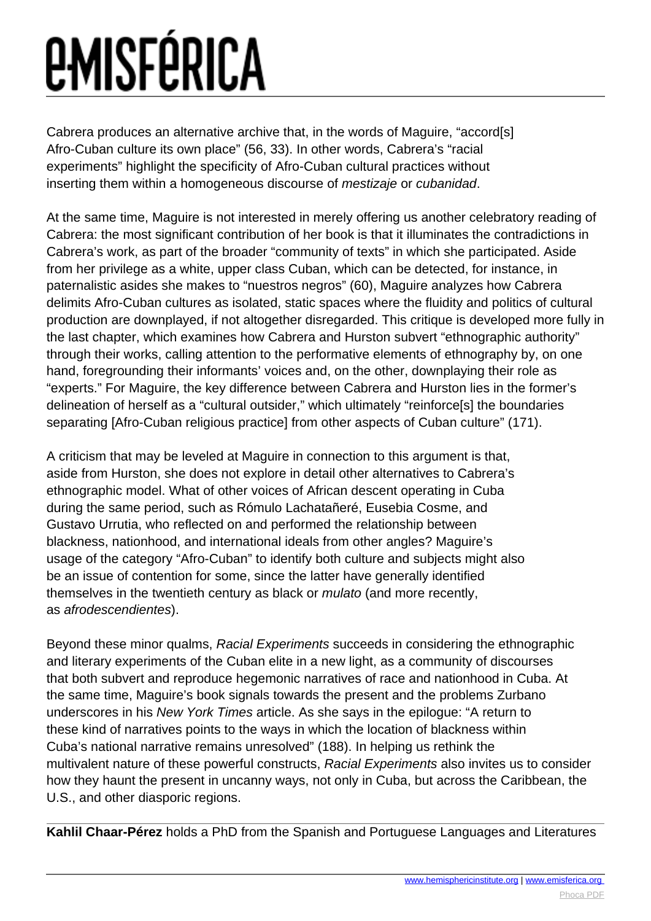## *<u>EMISFÉRICA</u>*

Cabrera produces an alternative archive that, in the words of Maguire, "accord[s] Afro-Cuban culture its own place" (56, 33). In other words, Cabrera's "racial experiments" highlight the specificity of Afro-Cuban cultural practices without inserting them within a homogeneous discourse of mestizaje or cubanidad.

At the same time, Maguire is not interested in merely offering us another celebratory reading of Cabrera: the most significant contribution of her book is that it illuminates the contradictions in Cabrera's work, as part of the broader "community of texts" in which she participated. Aside from her privilege as a white, upper class Cuban, which can be detected, for instance, in paternalistic asides she makes to "nuestros negros" (60), Maguire analyzes how Cabrera delimits Afro-Cuban cultures as isolated, static spaces where the fluidity and politics of cultural production are downplayed, if not altogether disregarded. This critique is developed more fully in the last chapter, which examines how Cabrera and Hurston subvert "ethnographic authority" through their works, calling attention to the performative elements of ethnography by, on one hand, foregrounding their informants' voices and, on the other, downplaying their role as "experts." For Maguire, the key difference between Cabrera and Hurston lies in the former's delineation of herself as a "cultural outsider," which ultimately "reinforce[s] the boundaries separating [Afro-Cuban religious practice] from other aspects of Cuban culture" (171).

A criticism that may be leveled at Maguire in connection to this argument is that, aside from Hurston, she does not explore in detail other alternatives to Cabrera's ethnographic model. What of other voices of African descent operating in Cuba during the same period, such as Rómulo Lachatañeré, Eusebia Cosme, and Gustavo Urrutia, who reflected on and performed the relationship between blackness, nationhood, and international ideals from other angles? Maguire's usage of the category "Afro-Cuban" to identify both culture and subjects might also be an issue of contention for some, since the latter have generally identified themselves in the twentieth century as black or mulato (and more recently, as afrodescendientes).

Beyond these minor qualms, Racial Experiments succeeds in considering the ethnographic and literary experiments of the Cuban elite in a new light, as a community of discourses that both subvert and reproduce hegemonic narratives of race and nationhood in Cuba. At the same time, Maguire's book signals towards the present and the problems Zurbano underscores in his New York Times article. As she says in the epilogue: "A return to these kind of narratives points to the ways in which the location of blackness within Cuba's national narrative remains unresolved" (188). In helping us rethink the multivalent nature of these powerful constructs, Racial Experiments also invites us to consider how they haunt the present in uncanny ways, not only in Cuba, but across the Caribbean, the U.S., and other diasporic regions.

**Kahlil Chaar-Pérez** holds a PhD from the Spanish and Portuguese Languages and Literatures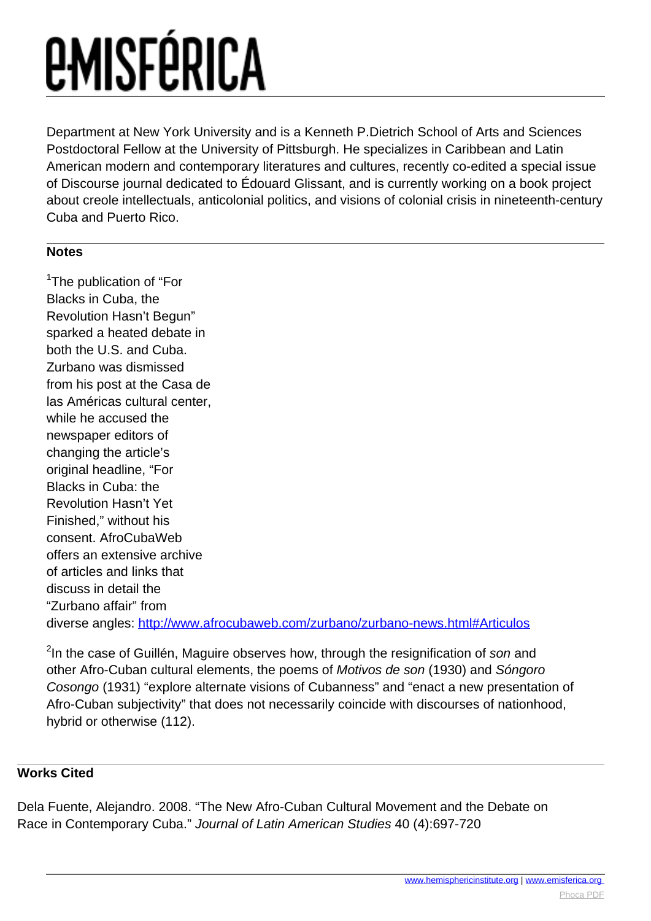### *<u>EMISFÉRICA</u>*

Department at New York University and is a Kenneth P.Dietrich School of Arts and Sciences Postdoctoral Fellow at the University of Pittsburgh. He specializes in Caribbean and Latin American modern and contemporary literatures and cultures, recently co-edited a special issue of Discourse journal dedicated to Édouard Glissant, and is currently working on a book project about creole intellectuals, anticolonial politics, and visions of colonial crisis in nineteenth-century Cuba and Puerto Rico.

#### **Notes**

<sup>1</sup>The publication of "For Blacks in Cuba, the Revolution Hasn't Begun" sparked a heated debate in both the U.S. and Cuba. Zurbano was dismissed from his post at the Casa de las Américas cultural center, while he accused the newspaper editors of changing the article's original headline, "For Blacks in Cuba: the Revolution Hasn't Yet Finished," without his consent. AfroCubaWeb offers an extensive archive of articles and links that discuss in detail the "Zurbano affair" from diverse angles: <http://www.afrocubaweb.com/zurbano/zurbano-news.html#Articulos>

<sup>2</sup>In the case of Guillén, Maguire observes how, through the resignification of son and other Afro-Cuban cultural elements, the poems of Motivos de son (1930) and Sóngoro Cosongo (1931) "explore alternate visions of Cubanness" and "enact a new presentation of Afro-Cuban subjectivity" that does not necessarily coincide with discourses of nationhood, hybrid or otherwise (112).

#### **Works Cited**

Dela Fuente, Alejandro. 2008. "The New Afro-Cuban Cultural Movement and the Debate on Race in Contemporary Cuba." Journal of Latin American Studies 40 (4):697-720